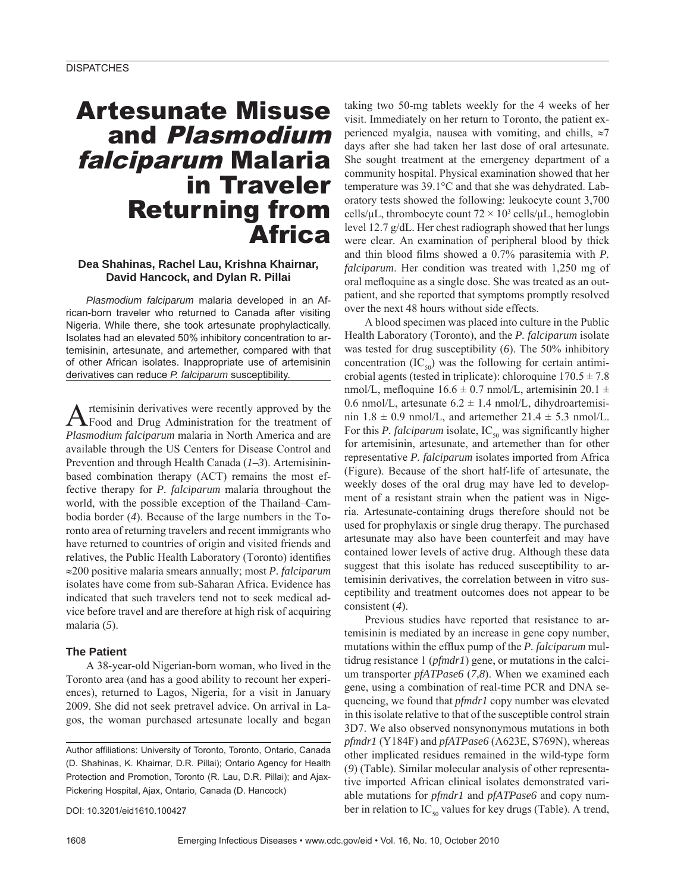# Artesunate Misuse and Plasmodium falciparum Malaria in Traveler Returning from Africa

## **Dea Shahinas, Rachel Lau, Krishna Khairnar, David Hancock, and Dylan R. Pillai**

*Plasmodium falciparum* malaria developed in an African-born traveler who returned to Canada after visiting Nigeria. While there, she took artesunate prophylactically. Isolates had an elevated 50% inhibitory concentration to artemisinin, artesunate, and artemether, compared with that of other African isolates. Inappropriate use of artemisinin derivatives can reduce *P. falciparum* susceptibility.

Artemisinin derivatives were recently approved by the Food and Drug Administration for the treatment of *Plasmodium falciparum* malaria in North America and are available through the US Centers for Disease Control and Prevention and through Health Canada (*1–3*). Artemisininbased combination therapy (ACT) remains the most effective therapy for *P. falciparum* malaria throughout the world, with the possible exception of the Thailand–Cambodia border (*4*). Because of the large numbers in the Toronto area of returning travelers and recent immigrants who have returned to countries of origin and visited friends and relatives, the Public Health Laboratory (Toronto) identifies ≈200 positive malaria smears annually; most *P. falciparum* isolates have come from sub-Saharan Africa. Evidence has indicated that such travelers tend not to seek medical advice before travel and are therefore at high risk of acquiring malaria (*5*).

# **The Patient**

A 38-year-old Nigerian-born woman, who lived in the Toronto area (and has a good ability to recount her experiences), returned to Lagos, Nigeria, for a visit in January 2009. She did not seek pretravel advice. On arrival in Lagos, the woman purchased artesunate locally and began

DOI: 10.3201/eid1610.100427

taking two 50-mg tablets weekly for the 4 weeks of her visit. Immediately on her return to Toronto, the patient experienced myalgia, nausea with vomiting, and chills,  $\approx$ 7 days after she had taken her last dose of oral artesunate. She sought treatment at the emergency department of a community hospital. Physical examination showed that her temperature was 39.1°C and that she was dehydrated. Laboratory tests showed the following: leukocyte count 3,700 cells/ $\mu$ L, thrombocyte count  $72 \times 10^3$  cells/ $\mu$ L, hemoglobin level 12.7 g/dL. Her chest radiograph showed that her lungs were clear. An examination of peripheral blood by thick and thin blood films showed a 0.7% parasitemia with *P*. *falciparum*. Her condition was treated with 1,250 mg of oral mefloquine as a single dose. She was treated as an outpatient, and she reported that symptoms promptly resolved over the next 48 hours without side effects.

A blood specimen was placed into culture in the Public Health Laboratory (Toronto), and the *P. falciparum* isolate was tested for drug susceptibility (*6*). The 50% inhibitory concentration  $(IC_{50})$  was the following for certain antimicrobial agents (tested in triplicate): chloroquine  $170.5 \pm 7.8$ nmol/L, mefloquine  $16.6 \pm 0.7$  nmol/L, artemisinin  $20.1 \pm$ 0.6 nmol/L, artesunate  $6.2 \pm 1.4$  nmol/L, dihydroartemisinin  $1.8 \pm 0.9$  nmol/L, and artemether  $21.4 \pm 5.3$  nmol/L. For this *P. falciparum* isolate,  $IC_{50}$  was significantly higher for artemisinin, artesunate, and artemether than for other representative *P. falciparum* isolates imported from Africa (Figure). Because of the short half-life of artesunate, the weekly doses of the oral drug may have led to development of a resistant strain when the patient was in Nigeria. Artesunate-containing drugs therefore should not be used for prophylaxis or single drug therapy. The purchased artesunate may also have been counterfeit and may have contained lower levels of active drug. Although these data suggest that this isolate has reduced susceptibility to artemisinin derivatives, the correlation between in vitro susceptibility and treatment outcomes does not appear to be consistent (*4*).

Previous studies have reported that resistance to artemisinin is mediated by an increase in gene copy number, mutations within the efflux pump of the *P. falciparum* multidrug resistance 1 (*pfmdr1*) gene, or mutations in the calcium transporter *pfATPase6* (*7,8*). When we examined each gene, using a combination of real-time PCR and DNA sequencing, we found that *pfmdr1* copy number was elevated in this isolate relative to that of the susceptible control strain 3D7. We also observed nonsynonymous mutations in both *pfmdr1* (Y184F) and *pfATPase6* (A623E, S769N), whereas other implicated residues remained in the wild-type form (*9*) (Table). Similar molecular analysis of other representative imported African clinical isolates demonstrated variable mutations for *pfmdr1* and *pfATPase6* and copy number in relation to  $IC_{50}$  values for key drugs (Table). A trend,

Author affiliations: University of Toronto, Toronto, Ontario, Canada (D. Shahinas, K. Khairnar, D.R. Pillai); Ontario Agency for Health Protection and Promotion, Toronto (R. Lau, D.R. Pillai); and Ajax-Pickering Hospital, Ajax, Ontario, Canada (D. Hancock)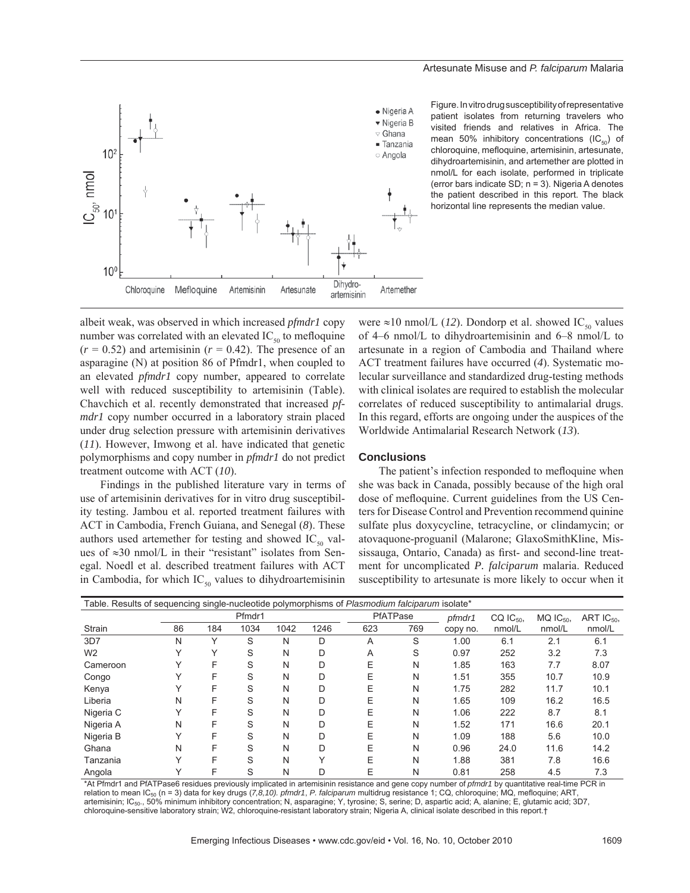

Figure. In vitro drug susceptibility of representative patient isolates from returning travelers who visited friends and relatives in Africa. The mean 50% inhibitory concentrations  $(IC_{\epsilon_0})$  of chloroquine, mefloquine, artemisinin, artesunate, dihydroartemisinin, and artemether are plotted in nmol/L for each isolate, performed in triplicate (error bars indicate SD; n = 3). Nigeria A denotes the patient described in this report. The black horizontal line represents the median value.

albeit weak, was observed in which increased *pfmdr1* copy number was correlated with an elevated  $IC_{\epsilon_0}$  to mefloquine  $(r = 0.52)$  and artemisinin  $(r = 0.42)$ . The presence of an asparagine (N) at position 86 of Pfmdr1, when coupled to an elevated *pfmdr1* copy number, appeared to correlate well with reduced susceptibility to artemisinin (Table). Chavchich et al. recently demonstrated that increased *pfmdr1* copy number occurred in a laboratory strain placed under drug selection pressure with artemisinin derivatives (*11*). However, Imwong et al. have indicated that genetic polymorphisms and copy number in *pfmdr1* do not predict treatment outcome with ACT (*10*).

Findings in the published literature vary in terms of use of artemisinin derivatives for in vitro drug susceptibility testing. Jambou et al. reported treatment failures with ACT in Cambodia, French Guiana, and Senegal (*8*). These authors used artemether for testing and showed  $IC_{50}$  values of ≈30 nmol/L in their "resistant" isolates from Senegal. Noedl et al. described treatment failures with ACT in Cambodia, for which  $IC_{50}$  values to dihydroartemisinin

were  $\approx$ 10 nmol/L (12). Dondorp et al. showed IC<sub>50</sub> values of 4–6 nmol/L to dihydroartemisinin and 6–8 nmol/L to artesunate in a region of Cambodia and Thailand where ACT treatment failures have occurred (*4*). Systematic molecular surveillance and standardized drug-testing methods with clinical isolates are required to establish the molecular correlates of reduced susceptibility to antimalarial drugs. In this regard, efforts are ongoing under the auspices of the Worldwide Antimalarial Research Network (*13*).

## **Conclusions**

The patient's infection responded to mefloquine when she was back in Canada, possibly because of the high oral dose of mefloquine. Current guidelines from the US Centers for Disease Control and Prevention recommend quinine sulfate plus doxycycline, tetracycline, or clindamycin; or atovaquone-proguanil (Malarone; GlaxoSmithKline, Mississauga, Ontario, Canada) as first- and second-line treatment for uncomplicated *P. falciparum* malaria. Reduced susceptibility to artesunate is more likely to occur when it

| Table. Results of sequencing single-nucleotide polymorphisms of Plasmodium falciparum isolate* |              |             |      |      |              |          |     |          |                  |                  |                 |
|------------------------------------------------------------------------------------------------|--------------|-------------|------|------|--------------|----------|-----|----------|------------------|------------------|-----------------|
|                                                                                                | Pfmdr1       |             |      |      |              | PfATPase |     | pfmdr1   | $CQ$ $IC_{50}$ , | $MQ$ $IC_{50}$ , | ART $IC_{50}$ , |
| Strain                                                                                         | 86           | 184         | 1034 | 1042 | 1246         | 623      | 769 | copy no. | nmol/L           | nmol/L           | nmol/L          |
| 3D7                                                                                            | N            | Υ           | S    | N    | D            | A        | S   | 1.00     | 6.1              | 2.1              | 6.1             |
| W <sub>2</sub>                                                                                 |              | $\check{ }$ | S    | N    | D            | A        | S   | 0.97     | 252              | 3.2              | 7.3             |
| Cameroon                                                                                       |              | F           | S    | N    | D            | Е        | N   | 1.85     | 163              | 7.7              | 8.07            |
| Congo                                                                                          |              | F           | S    | N    | D            | E        | N   | 1.51     | 355              | 10.7             | 10.9            |
| Kenya                                                                                          |              | F           | S    | N    | D            | Е        | N   | 1.75     | 282              | 11.7             | 10.1            |
| Liberia                                                                                        | N            | F           | S    | N    | D            | Е        | N   | 1.65     | 109              | 16.2             | 16.5            |
| Nigeria C                                                                                      |              | F           | S    | N    | D            | Е        | N   | 1.06     | 222              | 8.7              | 8.1             |
| Nigeria A                                                                                      | N            | F           | S    | N    | D            | E        | N   | 1.52     | 171              | 16.6             | 20.1            |
| Nigeria B                                                                                      |              | F           | S    | N    | D            | Е        | N   | 1.09     | 188              | 5.6              | 10.0            |
| Ghana                                                                                          | N            | F           | S    | N    | D            | E        | N   | 0.96     | 24.0             | 11.6             | 14.2            |
| Tanzania                                                                                       |              | F           | S    | N    | $\checkmark$ | E        | N   | 1.88     | 381              | 7.8              | 16.6            |
| Angola                                                                                         | $\checkmark$ | F           | S    | N    | D            | Е        | Ν   | 0.81     | 258              | 4.5              | 7.3             |

\*At Pfmdr1 and PfATPase6 residues previously implicated in artemisinin resistance and gene copy number of *pfmdr1* by quantitative real-time PCR in relation to mean IC50 (n = 3) data for key drugs (*7,8,10). pfmdr1*, *P. falciparum* multidrug resistance 1; CQ, chloroquine; MQ, mefloquine; ART, artemisinin; IC<sub>50</sub>., 50% minimum inhibitory concentration; N, asparagine; Y, tyrosine; S, serine; D, aspartic acid; A, alanine; E, glutamic acid; 3D7, chloroquine-sensitive laboratory strain; W2, chloroquine-resistant laboratory strain; Nigeria A, clinical isolate described in this report.†